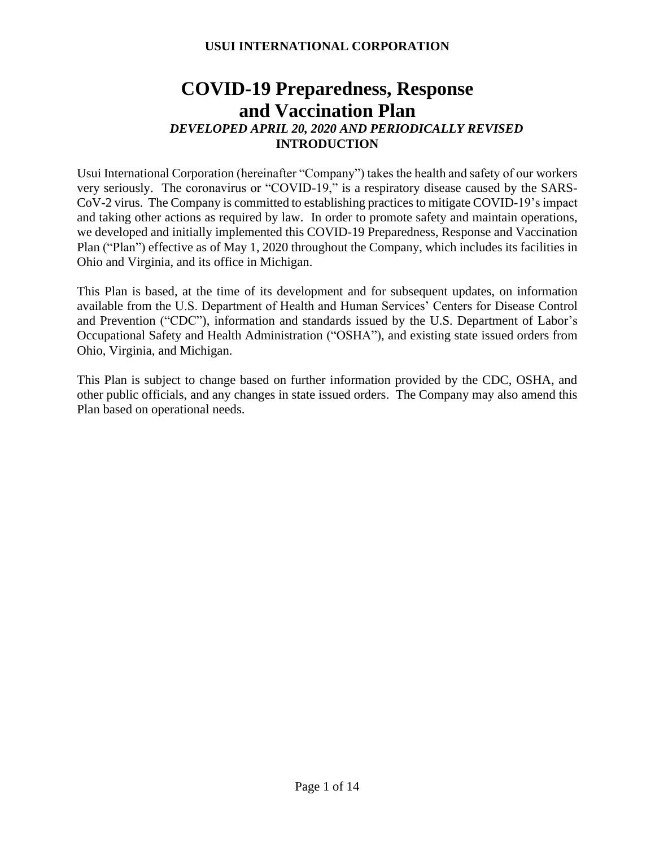# **COVID-19 Preparedness, Response and Vaccination Plan** *DEVELOPED APRIL 20, 2020 AND PERIODICALLY REVISED* **INTRODUCTION**

Usui International Corporation (hereinafter "Company") takes the health and safety of our workers very seriously. The coronavirus or "COVID-19," is a respiratory disease caused by the SARS-CoV-2 virus. The Company is committed to establishing practices to mitigate COVID-19's impact and taking other actions as required by law. In order to promote safety and maintain operations, we developed and initially implemented this COVID-19 Preparedness, Response and Vaccination Plan ("Plan") effective as of May 1, 2020 throughout the Company, which includes its facilities in Ohio and Virginia, and its office in Michigan.

This Plan is based, at the time of its development and for subsequent updates, on information available from the U.S. Department of Health and Human Services' Centers for Disease Control and Prevention ("CDC"), information and standards issued by the U.S. Department of Labor's Occupational Safety and Health Administration ("OSHA"), and existing state issued orders from Ohio, Virginia, and Michigan.

This Plan is subject to change based on further information provided by the CDC, OSHA, and other public officials, and any changes in state issued orders. The Company may also amend this Plan based on operational needs.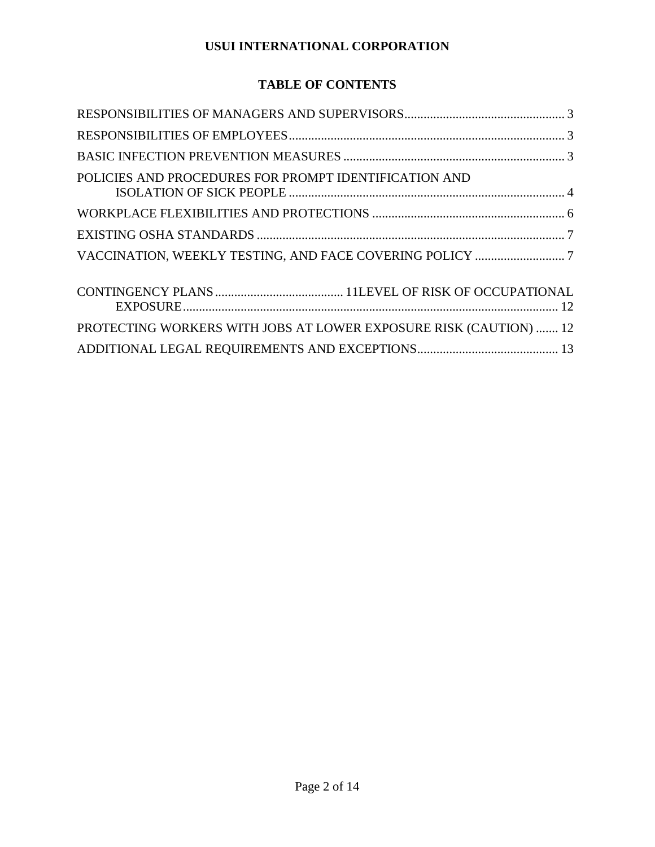# **TABLE OF CONTENTS**

| POLICIES AND PROCEDURES FOR PROMPT IDENTIFICATION AND             |  |
|-------------------------------------------------------------------|--|
|                                                                   |  |
|                                                                   |  |
|                                                                   |  |
|                                                                   |  |
| PROTECTING WORKERS WITH JOBS AT LOWER EXPOSURE RISK (CAUTION)  12 |  |
|                                                                   |  |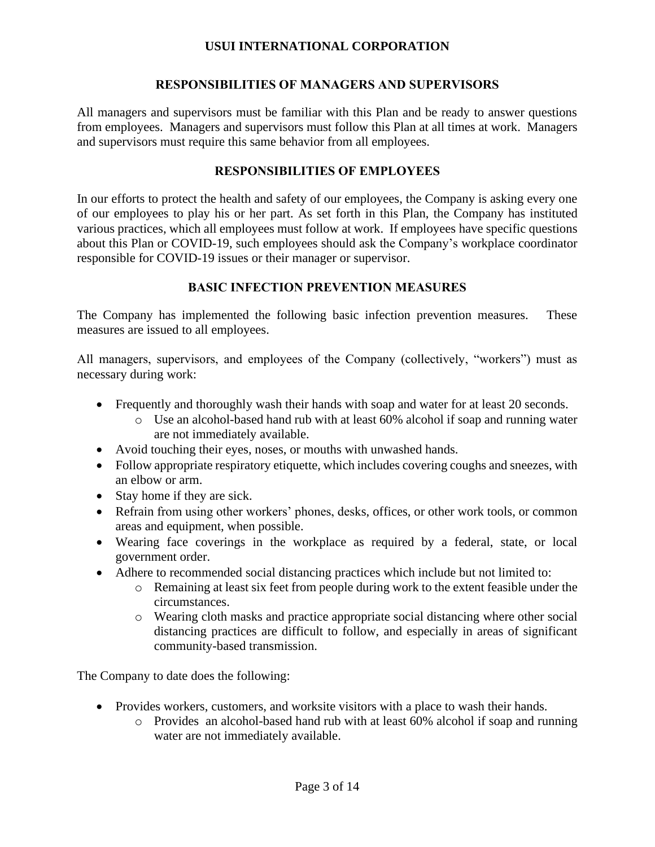### **RESPONSIBILITIES OF MANAGERS AND SUPERVISORS**

<span id="page-2-0"></span>All managers and supervisors must be familiar with this Plan and be ready to answer questions from employees. Managers and supervisors must follow this Plan at all times at work. Managers and supervisors must require this same behavior from all employees.

# **RESPONSIBILITIES OF EMPLOYEES**

<span id="page-2-1"></span>In our efforts to protect the health and safety of our employees, the Company is asking every one of our employees to play his or her part. As set forth in this Plan, the Company has instituted various practices, which all employees must follow at work. If employees have specific questions about this Plan or COVID-19, such employees should ask the Company's workplace coordinator responsible for COVID-19 issues or their manager or supervisor.

#### **BASIC INFECTION PREVENTION MEASURES**

<span id="page-2-2"></span>The Company has implemented the following basic infection prevention measures. These measures are issued to all employees.

All managers, supervisors, and employees of the Company (collectively, "workers") must as necessary during work:

- Frequently and thoroughly wash their hands with soap and water for at least 20 seconds.
	- o Use an alcohol-based hand rub with at least 60% alcohol if soap and running water are not immediately available.
- Avoid touching their eyes, noses, or mouths with unwashed hands.
- Follow appropriate respiratory etiquette, which includes covering coughs and sneezes, with an elbow or arm.
- Stay home if they are sick.
- Refrain from using other workers' phones, desks, offices, or other work tools, or common areas and equipment, when possible.
- Wearing face coverings in the workplace as required by a federal, state, or local government order.
- Adhere to recommended social distancing practices which include but not limited to:
	- o Remaining at least six feet from people during work to the extent feasible under the circumstances.
	- o Wearing cloth masks and practice appropriate social distancing where other social distancing practices are difficult to follow, and especially in areas of significant community-based transmission.

The Company to date does the following:

- Provides workers, customers, and worksite visitors with a place to wash their hands.
	- o Provides an alcohol-based hand rub with at least 60% alcohol if soap and running water are not immediately available.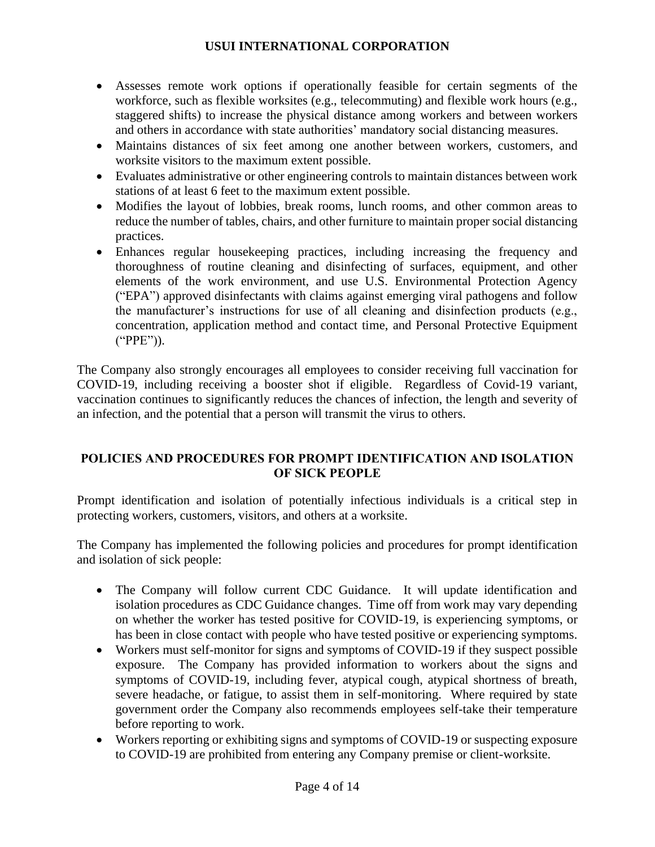- Assesses remote work options if operationally feasible for certain segments of the workforce, such as flexible worksites (e.g., telecommuting) and flexible work hours (e.g., staggered shifts) to increase the physical distance among workers and between workers and others in accordance with state authorities' mandatory social distancing measures.
- Maintains distances of six feet among one another between workers, customers, and worksite visitors to the maximum extent possible.
- Evaluates administrative or other engineering controls to maintain distances between work stations of at least 6 feet to the maximum extent possible.
- Modifies the layout of lobbies, break rooms, lunch rooms, and other common areas to reduce the number of tables, chairs, and other furniture to maintain proper social distancing practices.
- Enhances regular house keeping practices, including increasing the frequency and thoroughness of routine cleaning and disinfecting of surfaces, equipment, and other elements of the work environment, and use U.S. Environmental Protection Agency ("EPA") approved disinfectants with claims against emerging viral pathogens and follow the manufacturer's instructions for use of all cleaning and disinfection products (e.g., concentration, application method and contact time, and Personal Protective Equipment ("PPE")).

The Company also strongly encourages all employees to consider receiving full vaccination for COVID-19, including receiving a booster shot if eligible. Regardless of Covid-19 variant, vaccination continues to significantly reduces the chances of infection, the length and severity of an infection, and the potential that a person will transmit the virus to others.

# <span id="page-3-0"></span>**POLICIES AND PROCEDURES FOR PROMPT IDENTIFICATION AND ISOLATION OF SICK PEOPLE**

Prompt identification and isolation of potentially infectious individuals is a critical step in protecting workers, customers, visitors, and others at a worksite.

The Company has implemented the following policies and procedures for prompt identification and isolation of sick people:

- The Company will follow current CDC Guidance. It will update identification and isolation procedures as CDC Guidance changes. Time off from work may vary depending on whether the worker has tested positive for COVID-19, is experiencing symptoms, or has been in close contact with people who have tested positive or experiencing symptoms.
- Workers must self-monitor for signs and symptoms of COVID-19 if they suspect possible exposure. The Company has provided information to workers about the signs and symptoms of COVID-19, including fever, atypical cough, atypical shortness of breath, severe headache, or fatigue, to assist them in self-monitoring. Where required by state government order the Company also recommends employees self-take their temperature before reporting to work.
- Workers reporting or exhibiting signs and symptoms of COVID-19 or suspecting exposure to COVID-19 are prohibited from entering any Company premise or client-worksite.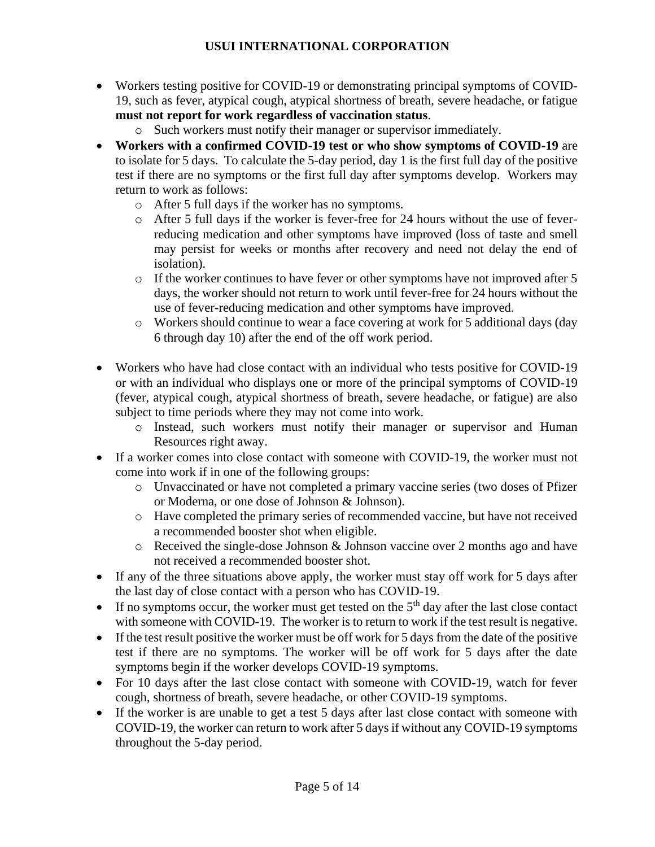- Workers testing positive for COVID-19 or demonstrating principal symptoms of COVID-19, such as fever, atypical cough, atypical shortness of breath, severe headache, or fatigue **must not report for work regardless of vaccination status**.
	- o Such workers must notify their manager or supervisor immediately.
- **Workers with a confirmed COVID-19 test or who show symptoms of COVID-19** are to isolate for 5 days. To calculate the 5-day period, day 1 is the first full day of the positive test if there are no symptoms or the first full day after symptoms develop. Workers may return to work as follows:
	- o After 5 full days if the worker has no symptoms.
	- $\circ$  After 5 full days if the worker is fever-free for 24 hours without the use of feverreducing medication and other symptoms have improved (loss of taste and smell may persist for weeks or months after recovery and need not delay the end of isolation).
	- $\circ$  If the worker continues to have fever or other symptoms have not improved after 5 days, the worker should not return to work until fever-free for 24 hours without the use of fever-reducing medication and other symptoms have improved.
	- o Workers should continue to wear a face covering at work for 5 additional days (day 6 through day 10) after the end of the off work period.
- Workers who have had close contact with an individual who tests positive for COVID-19 or with an individual who displays one or more of the principal symptoms of COVID-19 (fever, atypical cough, atypical shortness of breath, severe headache, or fatigue) are also subject to time periods where they may not come into work.
	- o Instead, such workers must notify their manager or supervisor and Human Resources right away.
- If a worker comes into close contact with someone with COVID-19, the worker must not come into work if in one of the following groups:
	- o Unvaccinated or have not completed a primary vaccine series (two doses of Pfizer or Moderna, or one dose of Johnson & Johnson).
	- o Have completed the primary series of recommended vaccine, but have not received a recommended booster shot when eligible.
	- o Received the single-dose Johnson & Johnson vaccine over 2 months ago and have not received a recommended booster shot.
- If any of the three situations above apply, the worker must stay off work for 5 days after the last day of close contact with a person who has COVID-19.
- If no symptoms occur, the worker must get tested on the  $5<sup>th</sup>$  day after the last close contact with someone with COVID-19. The worker is to return to work if the test result is negative.
- If the test result positive the worker must be off work for 5 days from the date of the positive test if there are no symptoms. The worker will be off work for 5 days after the date symptoms begin if the worker develops COVID-19 symptoms.
- For 10 days after the last close contact with someone with COVID-19, watch for fever cough, shortness of breath, severe headache, or other COVID-19 symptoms.
- If the worker is are unable to get a test 5 days after last close contact with someone with COVID-19, the worker can return to work after 5 days if without any COVID-19 symptoms throughout the 5-day period.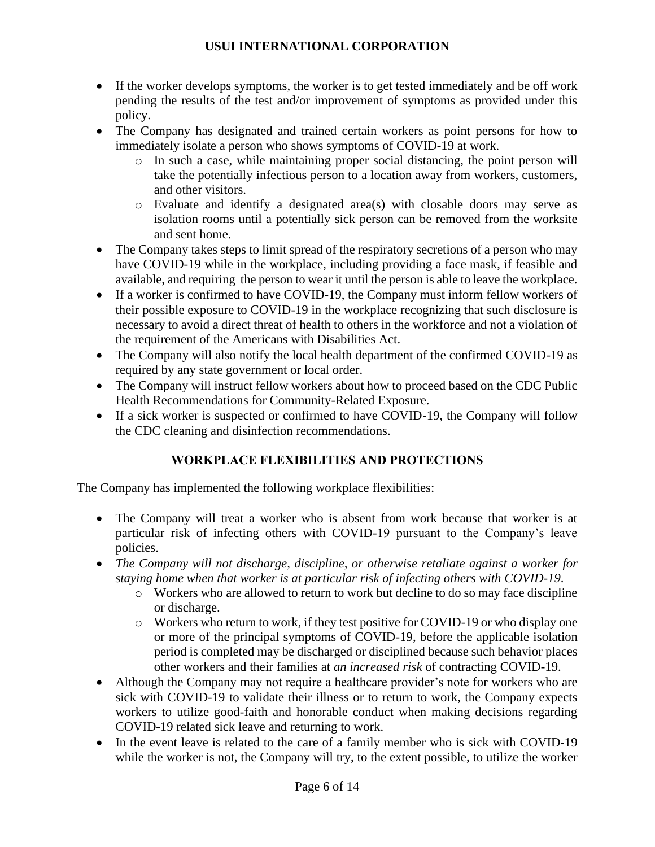- If the worker develops symptoms, the worker is to get tested immediately and be off work pending the results of the test and/or improvement of symptoms as provided under this policy.
- The Company has designated and trained certain workers as point persons for how to immediately isolate a person who shows symptoms of COVID-19 at work.
	- o In such a case, while maintaining proper social distancing, the point person will take the potentially infectious person to a location away from workers, customers, and other visitors.
	- o Evaluate and identify a designated area(s) with closable doors may serve as isolation rooms until a potentially sick person can be removed from the worksite and sent home.
- The Company takes steps to limit spread of the respiratory secretions of a person who may have COVID-19 while in the workplace, including providing a face mask, if feasible and available, and requiring the person to wear it until the person is able to leave the workplace.
- If a worker is confirmed to have COVID-19, the Company must inform fellow workers of their possible exposure to COVID-19 in the workplace recognizing that such disclosure is necessary to avoid a direct threat of health to others in the workforce and not a violation of the requirement of the Americans with Disabilities Act.
- The Company will also notify the local health department of the confirmed COVID-19 as required by any state government or local order.
- The Company will instruct fellow workers about how to proceed based on the CDC Public Health Recommendations for Community-Related Exposure.
- If a sick worker is suspected or confirmed to have COVID-19, the Company will follow the CDC cleaning and disinfection recommendations.

# **WORKPLACE FLEXIBILITIES AND PROTECTIONS**

<span id="page-5-0"></span>The Company has implemented the following workplace flexibilities:

- The Company will treat a worker who is absent from work because that worker is at particular risk of infecting others with COVID-19 pursuant to the Company's leave policies.
- *The Company will not discharge, discipline, or otherwise retaliate against a worker for staying home when that worker is at particular risk of infecting others with COVID-19*.
	- o Workers who are allowed to return to work but decline to do so may face discipline or discharge.
	- o Workers who return to work, if they test positive for COVID-19 or who display one or more of the principal symptoms of COVID-19, before the applicable isolation period is completed may be discharged or disciplined because such behavior places other workers and their families at *an increased risk* of contracting COVID-19.
- Although the Company may not require a healthcare provider's note for workers who are sick with COVID-19 to validate their illness or to return to work, the Company expects workers to utilize good-faith and honorable conduct when making decisions regarding COVID-19 related sick leave and returning to work.
- In the event leave is related to the care of a family member who is sick with COVID-19 while the worker is not, the Company will try, to the extent possible, to utilize the worker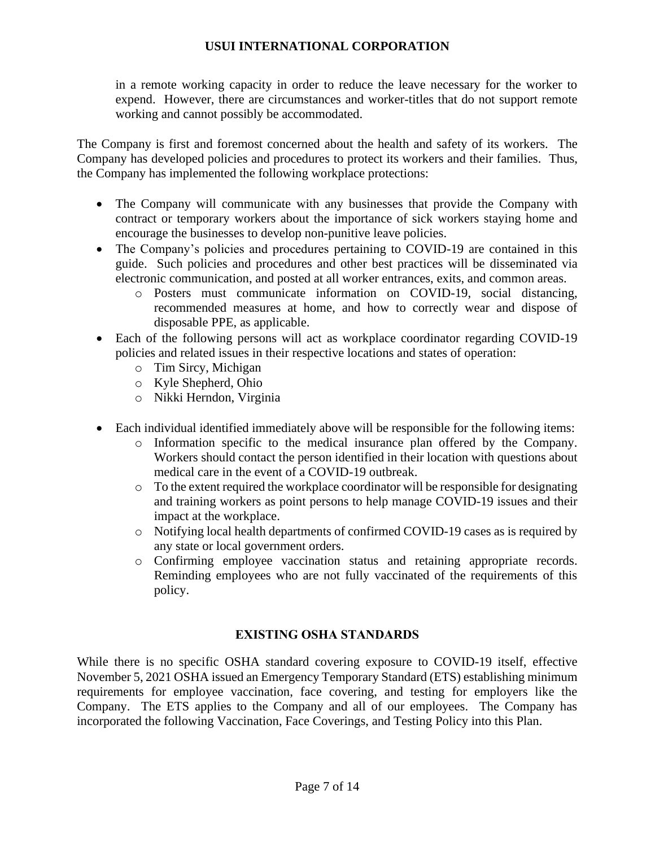in a remote working capacity in order to reduce the leave necessary for the worker to expend. However, there are circumstances and worker-titles that do not support remote working and cannot possibly be accommodated.

The Company is first and foremost concerned about the health and safety of its workers. The Company has developed policies and procedures to protect its workers and their families. Thus, the Company has implemented the following workplace protections:

- The Company will communicate with any businesses that provide the Company with contract or temporary workers about the importance of sick workers staying home and encourage the businesses to develop non-punitive leave policies.
- The Company's policies and procedures pertaining to COVID-19 are contained in this guide. Such policies and procedures and other best practices will be disseminated via electronic communication, and posted at all worker entrances, exits, and common areas.
	- o Posters must communicate information on COVID-19, social distancing, recommended measures at home, and how to correctly wear and dispose of disposable PPE, as applicable.
- Each of the following persons will act as workplace coordinator regarding COVID-19 policies and related issues in their respective locations and states of operation:
	- o Tim Sircy, Michigan
	- o Kyle Shepherd, Ohio
	- o Nikki Herndon, Virginia
- Each individual identified immediately above will be responsible for the following items:
	- o Information specific to the medical insurance plan offered by the Company. Workers should contact the person identified in their location with questions about medical care in the event of a COVID-19 outbreak.
	- o To the extent required the workplace coordinator will be responsible for designating and training workers as point persons to help manage COVID-19 issues and their impact at the workplace.
	- o Notifying local health departments of confirmed COVID-19 cases as is required by any state or local government orders.
	- o Confirming employee vaccination status and retaining appropriate records. Reminding employees who are not fully vaccinated of the requirements of this policy.

## **EXISTING OSHA STANDARDS**

<span id="page-6-0"></span>While there is no specific OSHA standard covering exposure to COVID-19 itself, effective November 5, 2021 OSHA issued an Emergency Temporary Standard (ETS) establishing minimum requirements for employee vaccination, face covering, and testing for employers like the Company. The ETS applies to the Company and all of our employees. The Company has incorporated the following Vaccination, Face Coverings, and Testing Policy into this Plan.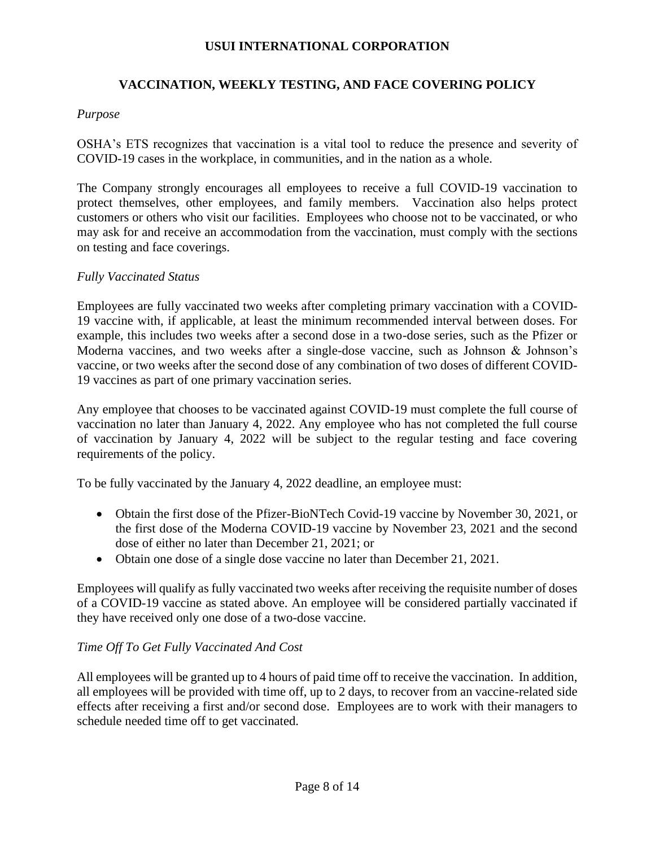# **VACCINATION, WEEKLY TESTING, AND FACE COVERING POLICY**

## *Purpose*

OSHA's ETS recognizes that vaccination is a vital tool to reduce the presence and severity of COVID-19 cases in the workplace, in communities, and in the nation as a whole.

The Company strongly encourages all employees to receive a full COVID-19 vaccination to protect themselves, other employees, and family members. Vaccination also helps protect customers or others who visit our facilities. Employees who choose not to be vaccinated, or who may ask for and receive an accommodation from the vaccination, must comply with the sections on testing and face coverings.

## *Fully Vaccinated Status*

Employees are fully vaccinated two weeks after completing primary vaccination with a COVID-19 vaccine with, if applicable, at least the minimum recommended interval between doses. For example, this includes two weeks after a second dose in a two-dose series, such as the Pfizer or Moderna vaccines, and two weeks after a single-dose vaccine, such as Johnson & Johnson's vaccine, or two weeks after the second dose of any combination of two doses of different COVID-19 vaccines as part of one primary vaccination series.

Any employee that chooses to be vaccinated against COVID-19 must complete the full course of vaccination no later than January 4, 2022. Any employee who has not completed the full course of vaccination by January 4, 2022 will be subject to the regular testing and face covering requirements of the policy.

To be fully vaccinated by the January 4, 2022 deadline, an employee must:

- Obtain the first dose of the Pfizer-BioNTech Covid-19 vaccine by November 30, 2021, or the first dose of the Moderna COVID-19 vaccine by November 23, 2021 and the second dose of either no later than December 21, 2021; or
- Obtain one dose of a single dose vaccine no later than December 21, 2021.

Employees will qualify as fully vaccinated two weeks after receiving the requisite number of doses of a COVID-19 vaccine as stated above. An employee will be considered partially vaccinated if they have received only one dose of a two-dose vaccine.

## *Time Off To Get Fully Vaccinated And Cost*

All employees will be granted up to 4 hours of paid time off to receive the vaccination. In addition, all employees will be provided with time off, up to 2 days, to recover from an vaccine-related side effects after receiving a first and/or second dose. Employees are to work with their managers to schedule needed time off to get vaccinated.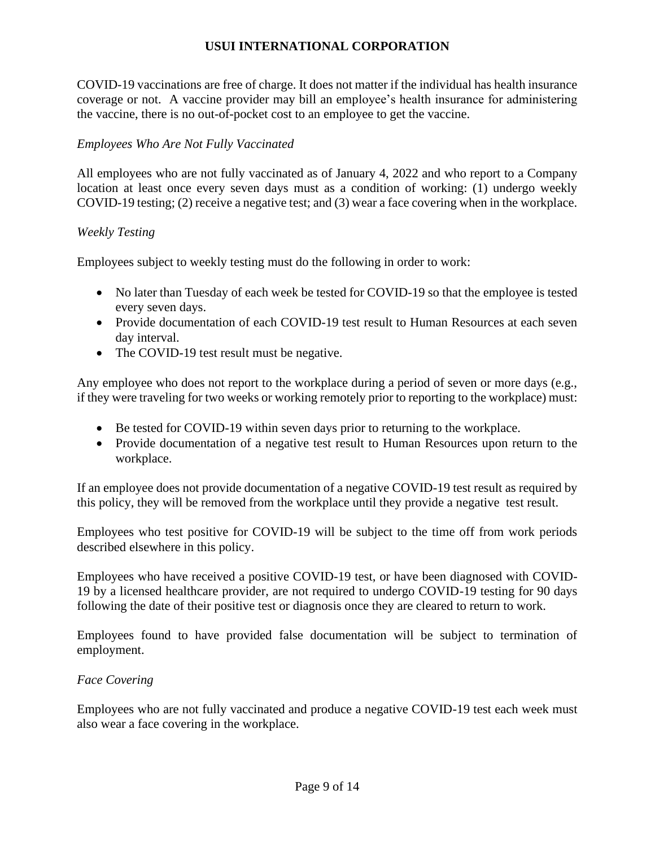COVID-19 vaccinations are free of charge. It does not matter if the individual has health insurance coverage or not. A vaccine provider may bill an employee's health insurance for administering the vaccine, there is no out-of-pocket cost to an employee to get the vaccine.

## *Employees Who Are Not Fully Vaccinated*

All employees who are not fully vaccinated as of January 4, 2022 and who report to a Company location at least once every seven days must as a condition of working: (1) undergo weekly COVID-19 testing; (2) receive a negative test; and (3) wear a face covering when in the workplace.

#### *Weekly Testing*

Employees subject to weekly testing must do the following in order to work:

- No later than Tuesday of each week be tested for COVID-19 so that the employee is tested every seven days.
- Provide documentation of each COVID-19 test result to Human Resources at each seven day interval.
- The COVID-19 test result must be negative.

Any employee who does not report to the workplace during a period of seven or more days (e.g., if they were traveling for two weeks or working remotely prior to reporting to the workplace) must:

- Be tested for COVID-19 within seven days prior to returning to the workplace.
- Provide documentation of a negative test result to Human Resources upon return to the workplace.

If an employee does not provide documentation of a negative COVID-19 test result as required by this policy, they will be removed from the workplace until they provide a negative test result.

Employees who test positive for COVID-19 will be subject to the time off from work periods described elsewhere in this policy.

Employees who have received a positive COVID-19 test, or have been diagnosed with COVID-19 by a licensed healthcare provider, are not required to undergo COVID-19 testing for 90 days following the date of their positive test or diagnosis once they are cleared to return to work.

Employees found to have provided false documentation will be subject to termination of employment.

#### *Face Covering*

Employees who are not fully vaccinated and produce a negative COVID-19 test each week must also wear a face covering in the workplace.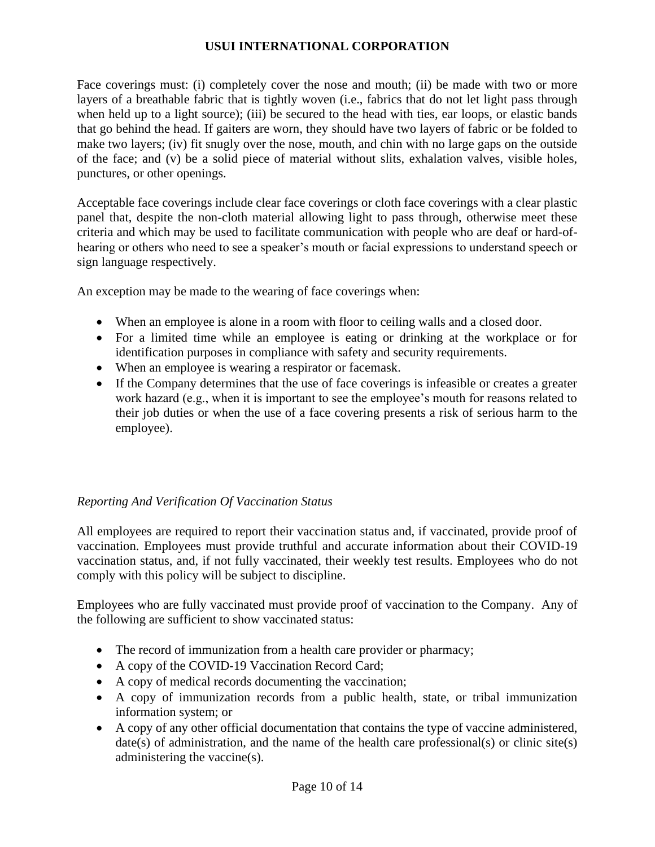Face coverings must: (i) completely cover the nose and mouth; (ii) be made with two or more layers of a breathable fabric that is tightly woven (i.e., fabrics that do not let light pass through when held up to a light source); (iii) be secured to the head with ties, ear loops, or elastic bands that go behind the head. If gaiters are worn, they should have two layers of fabric or be folded to make two layers; (iv) fit snugly over the nose, mouth, and chin with no large gaps on the outside of the face; and (v) be a solid piece of material without slits, exhalation valves, visible holes, punctures, or other openings.

Acceptable face coverings include clear face coverings or cloth face coverings with a clear plastic panel that, despite the non-cloth material allowing light to pass through, otherwise meet these criteria and which may be used to facilitate communication with people who are deaf or hard-ofhearing or others who need to see a speaker's mouth or facial expressions to understand speech or sign language respectively.

An exception may be made to the wearing of face coverings when:

- When an employee is alone in a room with floor to ceiling walls and a closed door.
- For a limited time while an employee is eating or drinking at the workplace or for identification purposes in compliance with safety and security requirements.
- When an employee is wearing a respirator or facemask.
- If the Company determines that the use of face coverings is infeasible or creates a greater work hazard (e.g., when it is important to see the employee's mouth for reasons related to their job duties or when the use of a face covering presents a risk of serious harm to the employee).

## *Reporting And Verification Of Vaccination Status*

All employees are required to report their vaccination status and, if vaccinated, provide proof of vaccination. Employees must provide truthful and accurate information about their COVID-19 vaccination status, and, if not fully vaccinated, their weekly test results. Employees who do not comply with this policy will be subject to discipline.

Employees who are fully vaccinated must provide proof of vaccination to the Company. Any of the following are sufficient to show vaccinated status:

- The record of immunization from a health care provider or pharmacy;
- A copy of the COVID-19 Vaccination Record Card;
- A copy of medical records documenting the vaccination;
- A copy of immunization records from a public health, state, or tribal immunization information system; or
- A copy of any other official documentation that contains the type of vaccine administered,  $date(s)$  of administration, and the name of the health care professional(s) or clinic site(s) administering the vaccine(s).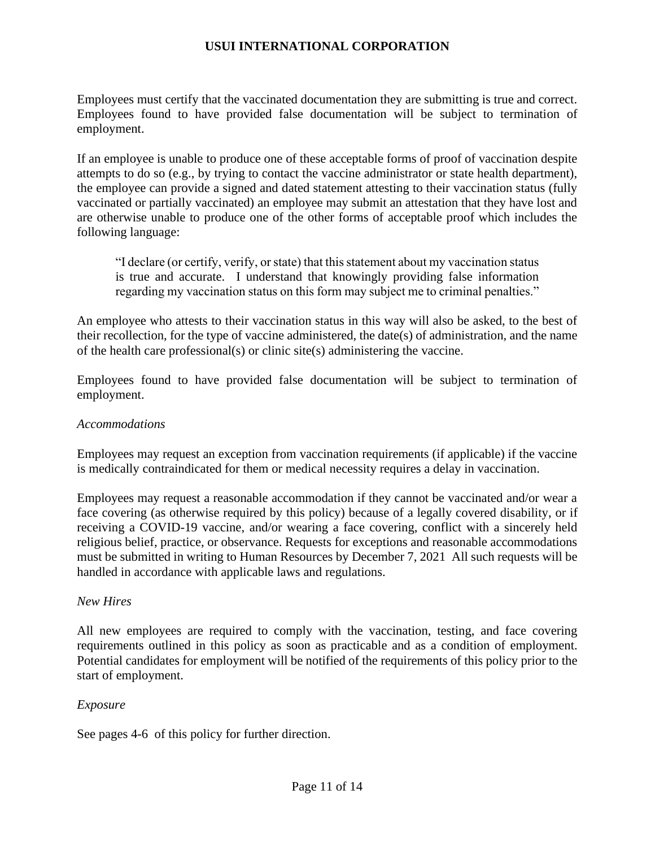Employees must certify that the vaccinated documentation they are submitting is true and correct. Employees found to have provided false documentation will be subject to termination of employment.

If an employee is unable to produce one of these acceptable forms of proof of vaccination despite attempts to do so (e.g., by trying to contact the vaccine administrator or state health department), the employee can provide a signed and dated statement attesting to their vaccination status (fully vaccinated or partially vaccinated) an employee may submit an attestation that they have lost and are otherwise unable to produce one of the other forms of acceptable proof which includes the following language:

"I declare (or certify, verify, or state) that this statement about my vaccination status is true and accurate. I understand that knowingly providing false information regarding my vaccination status on this form may subject me to criminal penalties."

An employee who attests to their vaccination status in this way will also be asked, to the best of their recollection, for the type of vaccine administered, the date(s) of administration, and the name of the health care professional(s) or clinic site(s) administering the vaccine.

Employees found to have provided false documentation will be subject to termination of employment.

### *Accommodations*

Employees may request an exception from vaccination requirements (if applicable) if the vaccine is medically contraindicated for them or medical necessity requires a delay in vaccination.

Employees may request a reasonable accommodation if they cannot be vaccinated and/or wear a face covering (as otherwise required by this policy) because of a legally covered disability, or if receiving a COVID-19 vaccine, and/or wearing a face covering, conflict with a sincerely held religious belief, practice, or observance. Requests for exceptions and reasonable accommodations must be submitted in writing to Human Resources by December 7, 2021 All such requests will be handled in accordance with applicable laws and regulations.

#### *New Hires*

All new employees are required to comply with the vaccination, testing, and face covering requirements outlined in this policy as soon as practicable and as a condition of employment. Potential candidates for employment will be notified of the requirements of this policy prior to the start of employment.

#### *Exposure*

See pages 4-6 of this policy for further direction.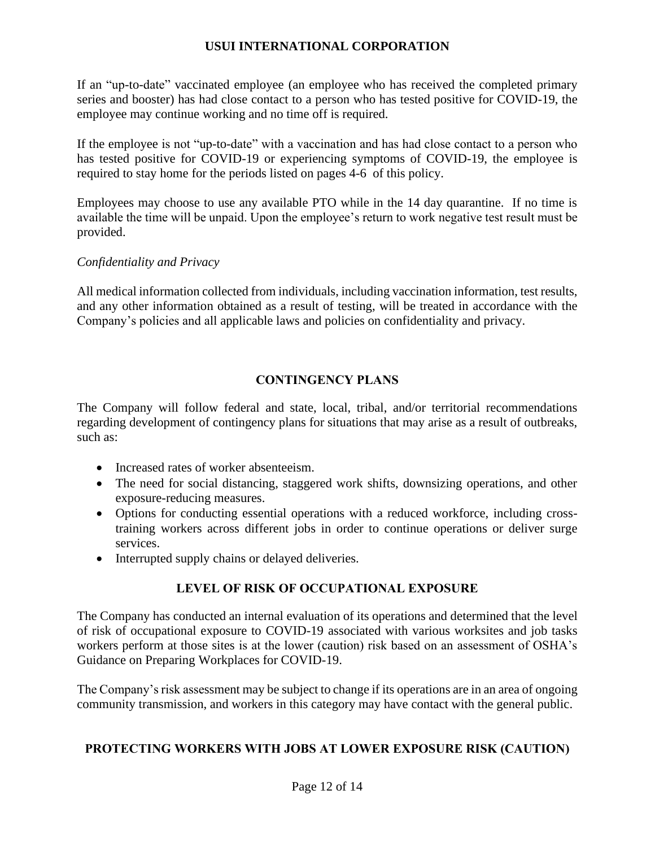If an "up-to-date" vaccinated employee (an employee who has received the completed primary series and booster) has had close contact to a person who has tested positive for COVID-19, the employee may continue working and no time off is required.

If the employee is not "up-to-date" with a vaccination and has had close contact to a person who has tested positive for COVID-19 or experiencing symptoms of COVID-19, the employee is required to stay home for the periods listed on pages 4-6 of this policy.

Employees may choose to use any available PTO while in the 14 day quarantine. If no time is available the time will be unpaid. Upon the employee's return to work negative test result must be provided.

## *Confidentiality and Privacy*

All medical information collected from individuals, including vaccination information, test results, and any other information obtained as a result of testing, will be treated in accordance with the Company's policies and all applicable laws and policies on confidentiality and privacy.

# **CONTINGENCY PLANS**

<span id="page-11-0"></span>The Company will follow federal and state, local, tribal, and/or territorial recommendations regarding development of contingency plans for situations that may arise as a result of outbreaks, such as:

- Increased rates of worker absenteeism.
- The need for social distancing, staggered work shifts, downsizing operations, and other exposure-reducing measures.
- Options for conducting essential operations with a reduced workforce, including crosstraining workers across different jobs in order to continue operations or deliver surge services.
- Interrupted supply chains or delayed deliveries.

# **LEVEL OF RISK OF OCCUPATIONAL EXPOSURE**

<span id="page-11-1"></span>The Company has conducted an internal evaluation of its operations and determined that the level of risk of occupational exposure to COVID-19 associated with various worksites and job tasks workers perform at those sites is at the lower (caution) risk based on an assessment of OSHA's Guidance on Preparing Workplaces for COVID-19.

The Company's risk assessment may be subject to change if its operations are in an area of ongoing community transmission, and workers in this category may have contact with the general public.

# <span id="page-11-2"></span>**PROTECTING WORKERS WITH JOBS AT LOWER EXPOSURE RISK (CAUTION)**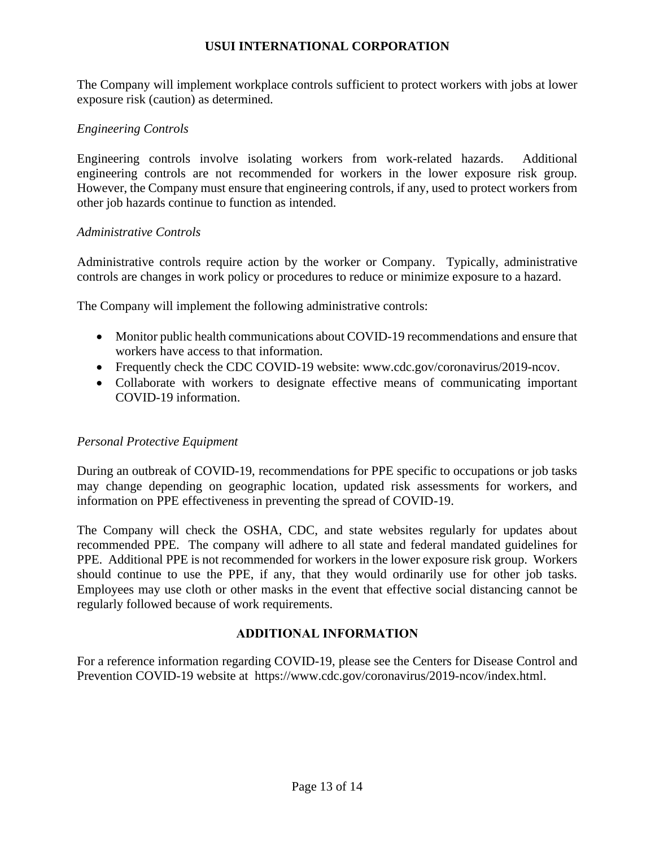The Company will implement workplace controls sufficient to protect workers with jobs at lower exposure risk (caution) as determined.

## *Engineering Controls*

Engineering controls involve isolating workers from work-related hazards. Additional engineering controls are not recommended for workers in the lower exposure risk group. However, the Company must ensure that engineering controls, if any, used to protect workers from other job hazards continue to function as intended.

#### *Administrative Controls*

Administrative controls require action by the worker or Company. Typically, administrative controls are changes in work policy or procedures to reduce or minimize exposure to a hazard.

The Company will implement the following administrative controls:

- Monitor public health communications about COVID-19 recommendations and ensure that workers have access to that information.
- Frequently check the CDC COVID-19 website: www.cdc.gov/coronavirus/2019-ncov.
- Collaborate with workers to designate effective means of communicating important COVID-19 information.

## *Personal Protective Equipment*

During an outbreak of COVID-19, recommendations for PPE specific to occupations or job tasks may change depending on geographic location, updated risk assessments for workers, and information on PPE effectiveness in preventing the spread of COVID-19.

The Company will check the OSHA, CDC, and state websites regularly for updates about recommended PPE. The company will adhere to all state and federal mandated guidelines for PPE. Additional PPE is not recommended for workers in the lower exposure risk group. Workers should continue to use the PPE, if any, that they would ordinarily use for other job tasks. Employees may use cloth or other masks in the event that effective social distancing cannot be regularly followed because of work requirements.

## **ADDITIONAL INFORMATION**

<span id="page-12-0"></span>For a reference information regarding COVID-19, please see the Centers for Disease Control and Prevention COVID-19 website at https://www.cdc.gov/coronavirus/2019-ncov/index.html.